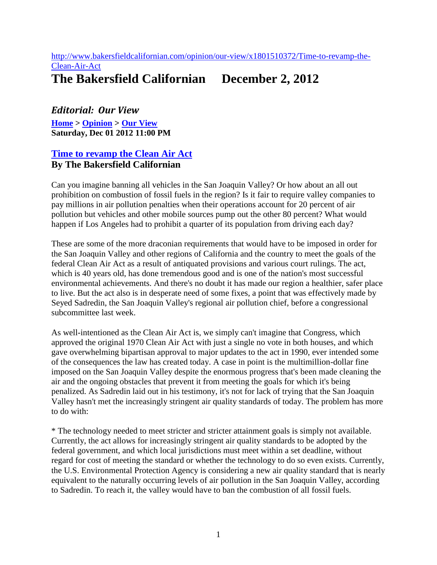## [http://www.bakersfieldcalifornian.com/opinion/our-view/x1801510372/Time-to-revamp-the-](http://www.bakersfieldcalifornian.com/opinion/our-view/x1801510372/Time-to-revamp-the-Clean-Air-Act)[Clean-Air-Act](http://www.bakersfieldcalifornian.com/opinion/our-view/x1801510372/Time-to-revamp-the-Clean-Air-Act)

## **The Bakersfield Californian December 2, 2012**

## *Editorial: Our View*

**[Home](http://www.bakersfieldcalifornian.com/) > [Opinion](http://www.bakersfieldcalifornian.com/opinion) > [Our View](http://www.bakersfieldcalifornian.com/opinion/our-view) Saturday, Dec 01 2012 11:00 PM**

## **[Time to revamp the Clean Air Act](http://www.bakersfieldcalifornian.com/opinion/our-view/x1801510372/Time-to-revamp-the-Clean-Air-Act) By The Bakersfield Californian**

Can you imagine banning all vehicles in the San Joaquin Valley? Or how about an all out prohibition on combustion of fossil fuels in the region? Is it fair to require valley companies to pay millions in air pollution penalties when their operations account for 20 percent of air pollution but vehicles and other mobile sources pump out the other 80 percent? What would happen if Los Angeles had to prohibit a quarter of its population from driving each day?

These are some of the more draconian requirements that would have to be imposed in order for the San Joaquin Valley and other regions of California and the country to meet the goals of the federal Clean Air Act as a result of antiquated provisions and various court rulings. The act, which is 40 years old, has done tremendous good and is one of the nation's most successful environmental achievements. And there's no doubt it has made our region a healthier, safer place to live. But the act also is in desperate need of some fixes, a point that was effectively made by Seyed Sadredin, the San Joaquin Valley's regional air pollution chief, before a congressional subcommittee last week.

As well-intentioned as the Clean Air Act is, we simply can't imagine that Congress, which approved the original 1970 Clean Air Act with just a single no vote in both houses, and which gave overwhelming bipartisan approval to major updates to the act in 1990, ever intended some of the consequences the law has created today. A case in point is the multimillion-dollar fine imposed on the San Joaquin Valley despite the enormous progress that's been made cleaning the air and the ongoing obstacles that prevent it from meeting the goals for which it's being penalized. As Sadredin laid out in his testimony, it's not for lack of trying that the San Joaquin Valley hasn't met the increasingly stringent air quality standards of today. The problem has more to do with:

\* The technology needed to meet stricter and stricter attainment goals is simply not available. Currently, the act allows for increasingly stringent air quality standards to be adopted by the federal government, and which local jurisdictions must meet within a set deadline, without regard for cost of meeting the standard or whether the technology to do so even exists. Currently, the U.S. Environmental Protection Agency is considering a new air quality standard that is nearly equivalent to the naturally occurring levels of air pollution in the San Joaquin Valley, according to Sadredin. To reach it, the valley would have to ban the combustion of all fossil fuels.